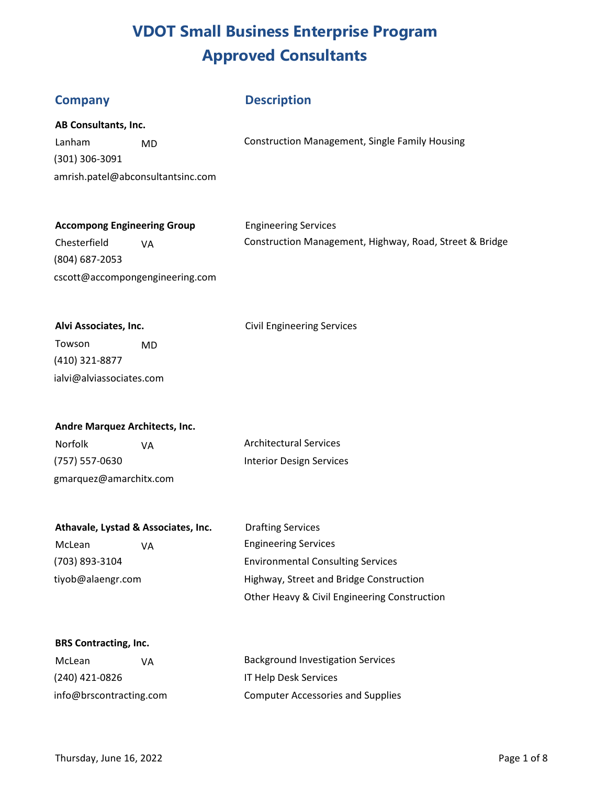## **Description**

|  |  | AB Consultants, Inc. |
|--|--|----------------------|
|--|--|----------------------|

(301) 306-3091 amrish.patel@abconsultantsinc.com

Lanham MD MO Construction Management, Single Family Housing

# **Accompong Engineering Group** *Engineering Services*

(804) 687-2053 cscott@accompongengineering.com

Chesterfield VA Construction Management, Highway, Road, Street & Bridge

Alvi Associates, Inc. **Alvi Associates, Inc. Civil Engineering Services** 

Towson MD (410) 321-8877 ialvi@alviassociates.com

# **Andre Marquez Architects, Inc.**

(757) 557-0630 Interior Design Services gmarquez@amarchitx.com

Norfolk VA VA Architectural Services

|                | Athavale, Lystad & Associates, Inc. |
|----------------|-------------------------------------|
| M <sub>0</sub> |                                     |

**Drafting Services** McLean VA CHA Engineering Services (703) 893-3104 Environmental Consulting Services tiyob@alaengr.com Highway, Street and Bridge Construction Other Heavy & Civil Engineering Construction

### **BRS Contracting, Inc.**

| McLean                  | VА | <b>Background Investigation Services</b> |
|-------------------------|----|------------------------------------------|
| (240) 421-0826          |    | <b>IT Help Desk Services</b>             |
| info@brscontracting.com |    | <b>Computer Accessories and Supplies</b> |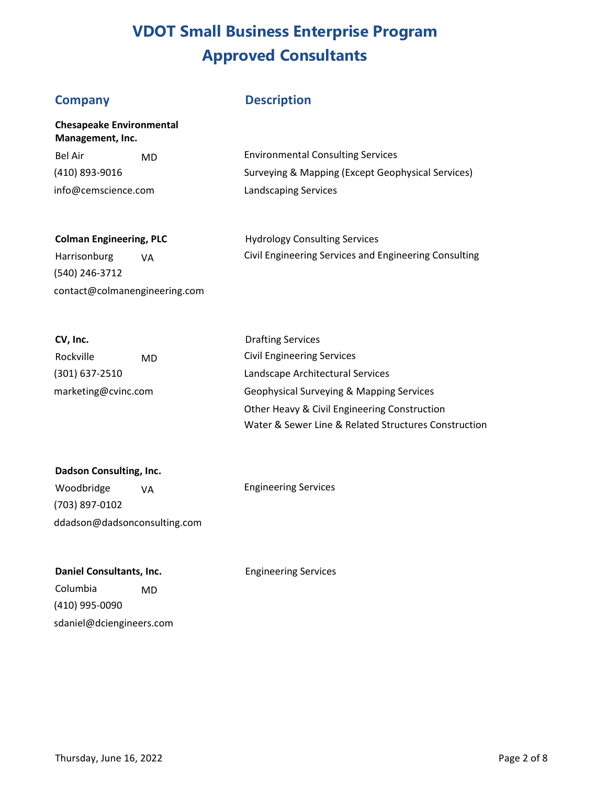# **Company**

**Management, Inc.** 

**Chesapeake Environmental** 

# **Description**

| -Bel Air            | MD. | <b>Environmental Consulting Services</b>          |
|---------------------|-----|---------------------------------------------------|
| (410) 893-9016      |     | Surveying & Mapping (Except Geophysical Services) |
| info@cemscience.com |     | Landscaping Services                              |

| <b>Colman Engineering, PLC</b> | <b>Hydrology Consulting Services</b>                  |
|--------------------------------|-------------------------------------------------------|
| Harrisonburg<br>۷A             | Civil Engineering Services and Engineering Consulting |
| (540) 246-3712                 |                                                       |

| CV, Inc.            |    |
|---------------------|----|
| Rockville           | MD |
| (301) 637-2510      |    |
| marketing@cvinc.com |    |

contact@colmanengineering.com

| <b>Drafting Services</b>                             |
|------------------------------------------------------|
| <b>Civil Engineering Services</b>                    |
| Landscape Architectural Services                     |
| Geophysical Surveying & Mapping Services             |
| Other Heavy & Civil Engineering Construction         |
| Water & Sewer Line & Related Structures Construction |

| Dadson Consulting, Inc.      |    |
|------------------------------|----|
| Woodbridge                   | VA |
| (703) 897-0102               |    |
| ddadson@dadsonconsulting.com |    |

Engineering Services

**Daniel Consultants, Inc.** 

Engineering Services

Columbia MD (410) 995-0090 sdaniel@dciengineers.com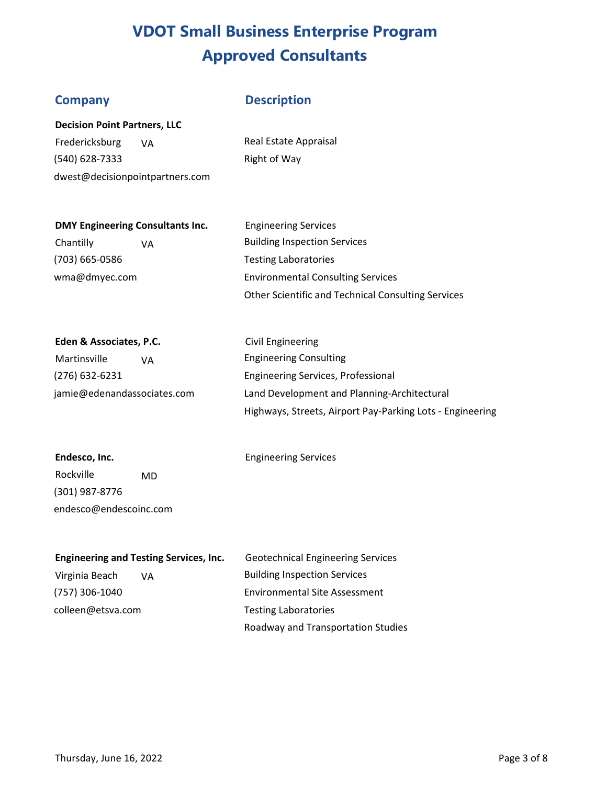## **Company Description**

**Decision Point Partners, LLC** 

Fredericksburg VA Real Estate Appraisal (540) 628-7333 Right of Way dwest@decisionpointpartners.com

### **DMY Engineering Consultants Inc. Engineering Services**

(703) 665-0586 Testing Laboratories

Chantilly  $VA$  Building Inspection Services wma@dmyec.com Environmental Consulting Services Other Scientific and Technical Consulting Services

# **Eden & Associates, P.C.** Civil Engineering Martinsville VA Consulting Martinsville

(276) 632-6231 Engineering Services, Professional jamie@edenandassociates.com Land Development and Planning-Architectural Highways, Streets, Airport Pay-Parking Lots - Engineering

# Endesco, Inc. **Engineering Services** Rockville MD (301) 987-8776 endesco@endescoinc.com

| <b>Engineering and Testing Services, Inc.</b> | <b>Geotechnical Engineering Services</b> |
|-----------------------------------------------|------------------------------------------|
| Virginia Beach<br>VA.                         | <b>Building Inspection Services</b>      |
| (757) 306-1040                                | <b>Environmental Site Assessment</b>     |
| colleen@etsva.com                             | <b>Testing Laboratories</b>              |
|                                               | Roadway and Transportation Studies       |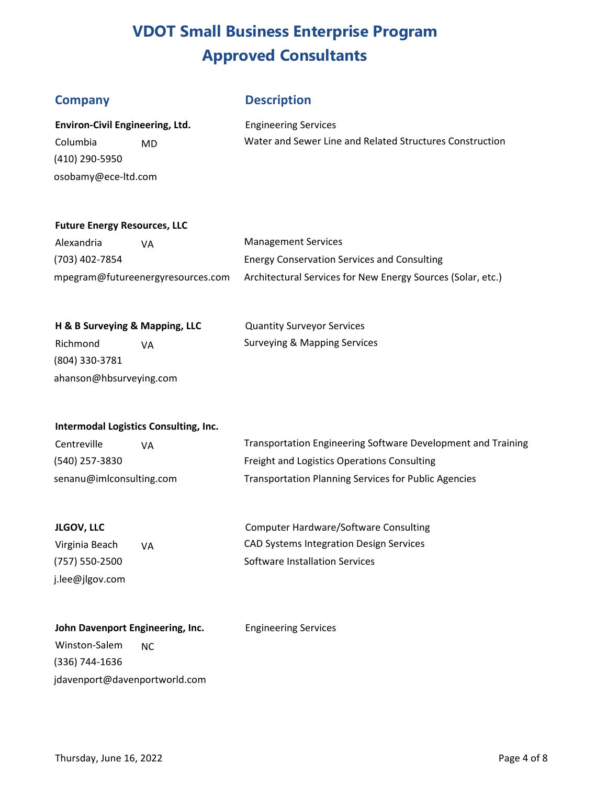## **Company**

## **Description**

| <b>Environ-Civil Engineering, Ltd.</b> |    |
|----------------------------------------|----|
| Columbia                               | MD |
| (410) 290-5950                         |    |
| osobamy@ece-ltd.com                    |    |

Engineering Services Water and Sewer Line and Related Structures Construction

### **Future Energy Resources, LLC**

| Alexandria     | VA.                               | <b>Management Services</b>                                  |
|----------------|-----------------------------------|-------------------------------------------------------------|
| (703) 402-7854 |                                   | <b>Energy Conservation Services and Consulting</b>          |
|                | mpegram@futureenergyresources.com | Architectural Services for New Energy Sources (Solar, etc.) |

| H & B Surveying & Mapping, LLC |  | <b>Quantity Surveyor Services</b> |
|--------------------------------|--|-----------------------------------|
| Richmond<br>VA                 |  | Surveying & Mapping Services      |
| (804) 330-3781                 |  |                                   |
| ahanson@hbsurveying.com        |  |                                   |

#### **Intermodal Logistics Consulting, Inc.**

| Centreville              | VA | Transportation Engineering Software Development and Training |
|--------------------------|----|--------------------------------------------------------------|
| (540) 257-3830           |    | Freight and Logistics Operations Consulting                  |
| senanu@imlconsulting.com |    | <b>Transportation Planning Services for Public Agencies</b>  |

Engineering Services

| <b>JLGOV, LLC</b> |    |
|-------------------|----|
| Virginia Beach    | VA |

(757) 550-2500 j.lee@jlgov.com

Computer Hardware/Software Consulting CAD Systems Integration Design Services Software Installation Services

| John Davenport Engineering, Inc. |     |  |
|----------------------------------|-----|--|
| Winston-Salem                    | NC. |  |
| (336) 744-1636                   |     |  |
| jdavenport@davenportworld.com    |     |  |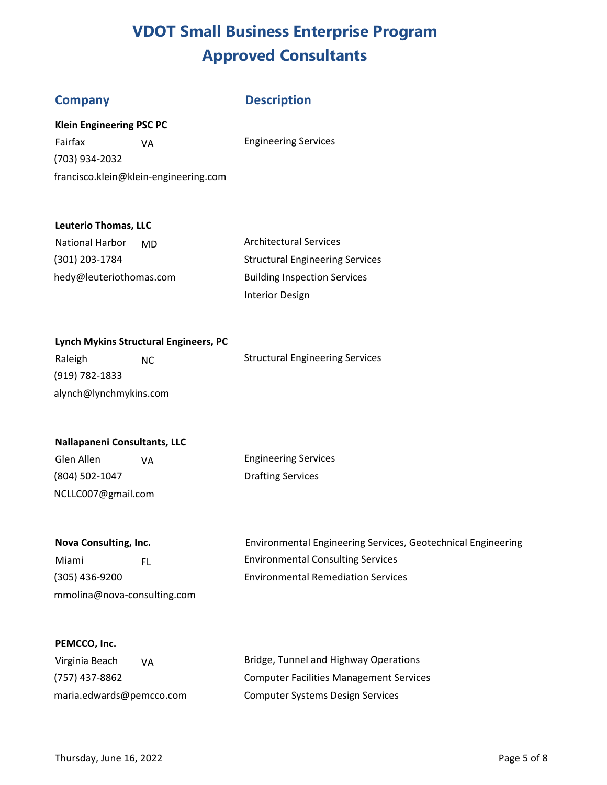## **Company Description**

### **Klein Engineering PSC PC**

Fairfax **VA** CHEN CONSERVICES (703) 934-2032 francisco.klein@klein-engineering.com

### **Leuterio Thomas, LLC**

| <b>National Harbor</b><br>MD. | <b>Architectural Services</b>          |
|-------------------------------|----------------------------------------|
| (301) 203-1784                | <b>Structural Engineering Services</b> |
| hedy@leuteriothomas.com       | <b>Building Inspection Services</b>    |
|                               | <b>Interior Design</b>                 |

#### **Lynch Mykins Structural Engineers, PC**

| Raleigh                | NC. | <b>Structural Engineering Services</b> |
|------------------------|-----|----------------------------------------|
| (919) 782-1833         |     |                                        |
| alynch@lynchmykins.com |     |                                        |

#### **Nallapaneni Consultants, LLC**

Glen Allen VA Clen Engineering Services (804) 502-1047 Drafting Services NCLLC007@gmail.com

mmolina@nova-consulting.com

**Nova Consulting, Inc.** Environmental Engineering Services, Geotechnical Engineering Miami FL FL Environmental Consulting Services (305) 436-9200 Environmental Remediation Services

#### **PEMCCO, Inc.**

| Virginia Beach<br>VA     | Bridge, Tunnel and Highway Operations          |
|--------------------------|------------------------------------------------|
| (757) 437-8862           | <b>Computer Facilities Management Services</b> |
| maria.edwards@pemcco.com | Computer Systems Design Services               |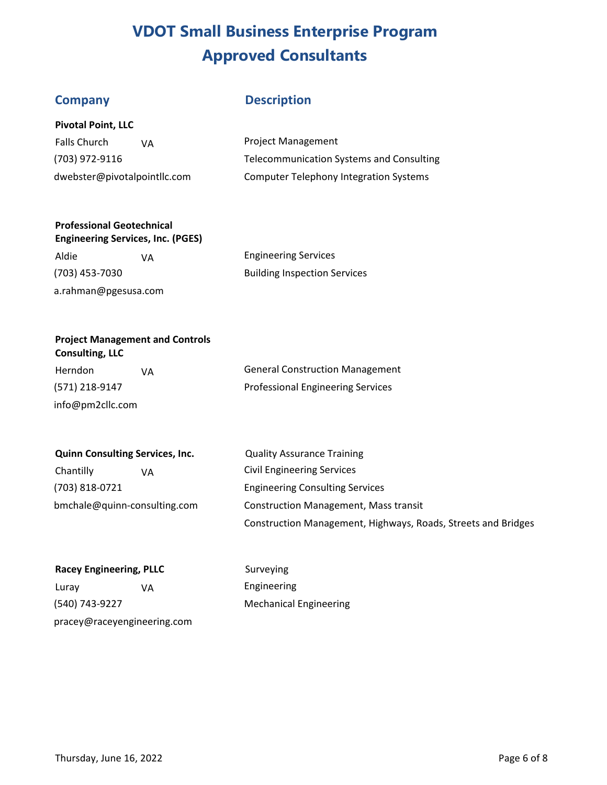## **Company Description**

Falls Church VA (703) 972-9116 dwebster@pivotalpointllc.com

Project Management Telecommunication Systems and Consulting Computer Telephony Integration Systems

## **Professional Geotechnical**

| <b>Engineering Services, Inc. (PGES)</b> |    |                                     |
|------------------------------------------|----|-------------------------------------|
| Aldie                                    | VА | <b>Engineering Services</b>         |
| (703) 453-7030                           |    | <b>Building Inspection Services</b> |
| a.rahman@pgesusa.com                     |    |                                     |

| <b>Engineering Services</b>         |  |  |
|-------------------------------------|--|--|
| <b>Building Inspection Services</b> |  |  |

#### **Project Management and Controls Consulting, LLC**

Herndon VA VA General Construction Management (571) 218-9147 Professional Engineering Services info@pm2cllc.com

# **Quinn Consulting Services, Inc. Quality Assurance Training**

Chantilly VA VA Civil Engineering Services (703) 818-0721 Engineering Consulting Services

bmchale@quinn-consulting.com Construction Management, Mass transit Construction Management, Highways, Roads, Streets and Bridges

| <b>Racey Engineering, PLLC</b> |    |  |
|--------------------------------|----|--|
| Luray                          | VA |  |
| (540) 743-9227                 |    |  |

**Surveying** Engineering **Mechanical Engineering** 

pracey@raceyengineering.com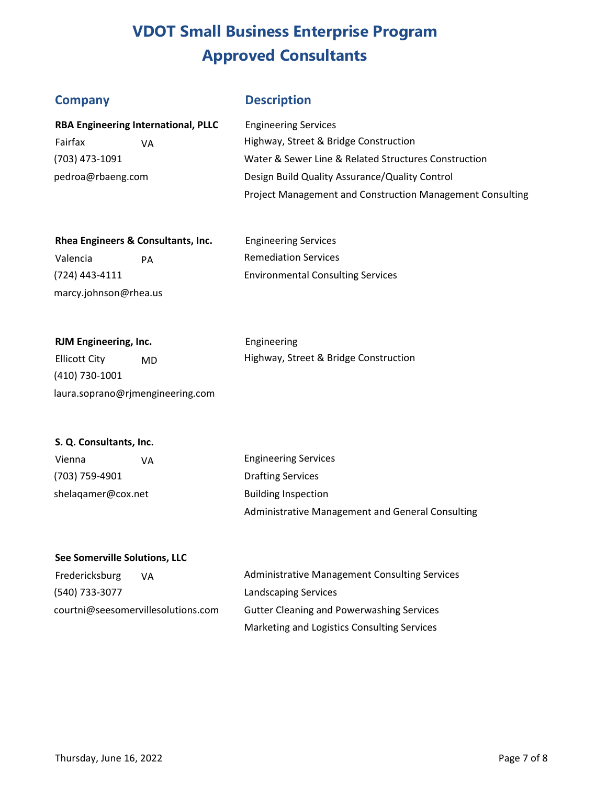# **Company**

# **Description**

| <b>RBA Engineering International, PLLC</b> | <b>Engineering Services</b>                                      |
|--------------------------------------------|------------------------------------------------------------------|
| Fairfax<br>VA                              | Highway, Street & Bridge Construction                            |
| (703) 473-1091                             | Water & Sewer Line & Related Structures Construction             |
| pedroa@rbaeng.com                          | Design Build Quality Assurance/Quality Control                   |
|                                            | <b>Project Management and Construction Management Consulting</b> |

| Rhea Engineers & Consultants, Inc. |    | <b>Engineering Services</b>              |
|------------------------------------|----|------------------------------------------|
| Valencia                           | PА | <b>Remediation Services</b>              |
| $(724)$ 443-4111                   |    | <b>Environmental Consulting Services</b> |

| RJM Engineering, Inc. |    | Engineering                           |  |
|-----------------------|----|---------------------------------------|--|
| Ellicott City         | MD | Highway, Street & Bridge Construction |  |
| $(110)$ 720 $1001$    |    |                                       |  |

(410) 730-1001 laura.soprano@rjmengineering.com

#### **S. Q. Consultants, Inc.**

marcy.johnson@rhea.us

| Vienna             | ۷A | <b>Engineering Services</b>                      |
|--------------------|----|--------------------------------------------------|
| (703) 759-4901     |    | <b>Drafting Services</b>                         |
| shelagamer@cox.net |    | <b>Building Inspection</b>                       |
|                    |    | Administrative Management and General Consulting |

#### **See Somerville Solutions, LLC**

| Fredericksburg<br>VA.              | <b>Administrative Management Consulting Services</b> |
|------------------------------------|------------------------------------------------------|
| (540) 733-3077                     | <b>Landscaping Services</b>                          |
| courtni@seesomervillesolutions.com | <b>Gutter Cleaning and Powerwashing Services</b>     |
|                                    | Marketing and Logistics Consulting Services          |